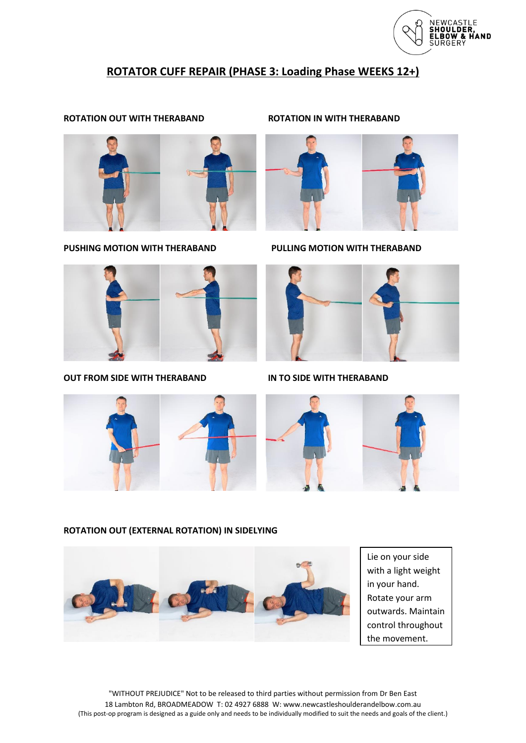

# **ROTATOR CUFF REPAIR (PHASE 3: Loading Phase WEEKS 12+)**

# **ROTATION OUT WITH THERABAND ROTATION IN WITH THERABAND**



**PUSHING MOTION WITH THERABAND PULLING MOTION WITH THERABAND**



**OUT FROM SIDE WITH THERABAND IN TO SIDE WITH THERABAND**







# **ROTATION OUT (EXTERNAL ROTATION) IN SIDELYING**



Lie on your side with a light weight in your hand. Rotate your arm outwards. Maintain control throughout the movement.

"WITHOUT PREJUDICE" Not to be released to third parties without permission from Dr Ben East 18 Lambton Rd, BROADMEADOW T: 02 4927 6888 W: www.newcastleshoulderandelbow.com.au (This post-op program is designed as a guide only and needs to be individually modified to suit the needs and goals of the client.)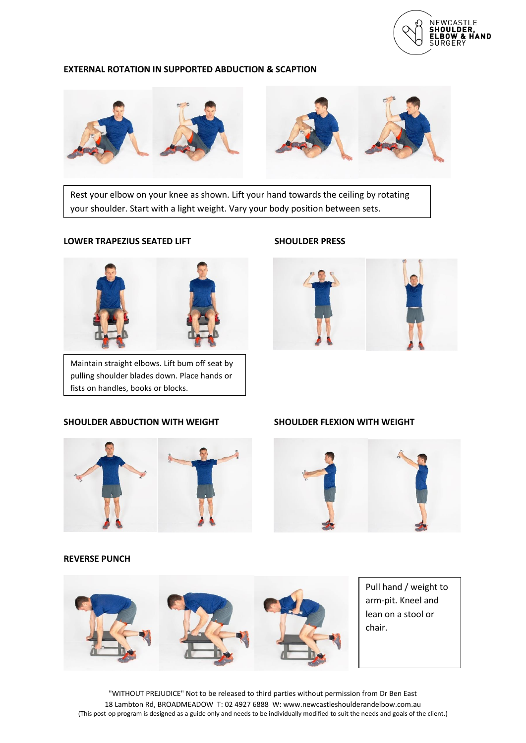

### **EXTERNAL ROTATION IN SUPPORTED ABDUCTION & SCAPTION**



Rest your elbow on your knee as shown. Lift your hand towards the ceiling by rotating your shoulder. Start with a light weight. Vary your body position between sets.

## LOWER TRAPEZIUS SEATED LIFT SHOULDER PRESS



Maintain straight elbows. Lift bum off seat by pulling shoulder blades down. Place hands or fists on handles, books or blocks.

# **SHOULDER ABDUCTION WITH WEIGHT SHOULDER FLEXION WITH WEIGHT**







### **REVERSE PUNCH**



Pull hand / weight to arm-pit. Kneel and lean on a stool or chair.

"WITHOUT PREJUDICE" Not to be released to third parties without permission from Dr Ben East 18 Lambton Rd, BROADMEADOW T: 02 4927 6888 W: www.newcastleshoulderandelbow.com.au (This post-op program is designed as a guide only and needs to be individually modified to suit the needs and goals of the client.)